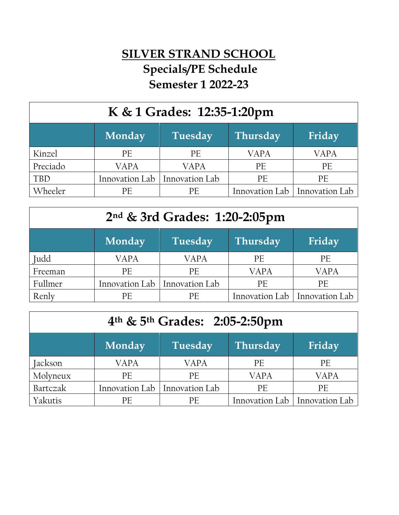## **SILVER STRAND SCHOOL Specials/PE Schedule Semester 1 2022-23**

| K & 1 Grades: 12:35-1:20pm |                |                |                 |                |
|----------------------------|----------------|----------------|-----------------|----------------|
|                            | Monday         | Tuesday        | <b>Thursday</b> | Friday         |
| Kinzel                     | PE             | PE             | <b>VAPA</b>     | <b>VAPA</b>    |
| Preciado                   | <b>VAPA</b>    | <b>VAPA</b>    | PE              | PE             |
| <b>TBD</b>                 | Innovation Lab | Innovation Lab | PE              | PE             |
| Wheeler                    | PE             | PE.            | Innovation Lab  | Innovation Lab |

| $2nd$ & 3rd Grades: 1:20-2:05pm |                |                |                 |                |
|---------------------------------|----------------|----------------|-----------------|----------------|
|                                 | <b>Monday</b>  | Tuesday        | <b>Thursday</b> | Friday         |
| Judd                            | <b>VAPA</b>    | <b>VAPA</b>    | PE              | <b>PE</b>      |
| Freeman                         | PE             | <b>PE</b>      | <b>VAPA</b>     | <b>VAPA</b>    |
| Fullmer                         | Innovation Lab | Innovation Lab | PF              | <b>PF</b>      |
| Renly                           | PE             | PF             | Innovation Lab  | Innovation Lab |

| 4 <sup>th</sup> & 5 <sup>th</sup> Grades: 2:05-2:50pm |                |                |             |                                 |
|-------------------------------------------------------|----------------|----------------|-------------|---------------------------------|
|                                                       | <b>Monday</b>  | Tuesday        | Thursday    | Friday                          |
| Jackson                                               | <b>VAPA</b>    | <b>VAPA</b>    | <b>PE</b>   | PE                              |
| Molyneux                                              | PE             | PE             | <b>VAPA</b> | <b>VAPA</b>                     |
| Bartczak                                              | Innovation Lab | Innovation Lab | PE          | <b>PF</b>                       |
| Yakutis                                               | PE             | РF             |             | Innovation Lab   Innovation Lab |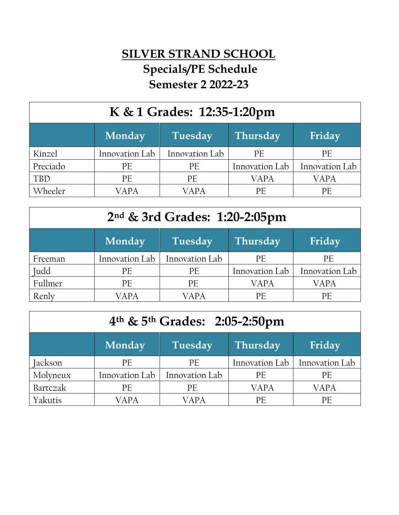## **SILVER STRAND SCHOOL Specials/PE Schedule Semester 2 2022-23**

| K & 1 Grades: 12:35-1:20pm |                |                |                 |                |
|----------------------------|----------------|----------------|-----------------|----------------|
|                            | Monday         | <b>Tuesday</b> | <b>Thursday</b> | Friday         |
| Kinzel                     | Innovation Lab | Innovation Lab | PE              | PE             |
| Preciado                   | PE             | PE             | Innovation Lab  | Innovation Lab |
| <b>TBD</b>                 | PE             | PE             | <b>VAPA</b>     | <b>VAPA</b>    |
| Wheeler                    | VAPA           | VAPA           | PE              | PE             |

| 2nd & 3rd Grades: 1:20-2:05pm |                |                |                 |                |
|-------------------------------|----------------|----------------|-----------------|----------------|
|                               | Monday         | Tuesday        | <b>Thursday</b> | Friday         |
| Freeman                       | Innovation Lab | Innovation Lab | <b>PE</b>       | <b>PE</b>      |
| Judd                          | PE             | PE             | Innovation Lab  | Innovation Lab |
| Fullmer                       | PE             | <b>PE</b>      | <b>VAPA</b>     | <b>VAPA</b>    |
| Renly                         | VAPA           | VAPA           | PE              | РF             |

| 4 <sup>th</sup> & 5 <sup>th</sup> Grades: 2:05-2:50pm |                |                |                 |                |
|-------------------------------------------------------|----------------|----------------|-----------------|----------------|
|                                                       | <b>Monday</b>  | Tuesday        | <b>Thursday</b> | Friday         |
| Jackson                                               | <b>PE</b>      | PE             | Innovation Lab  | Innovation Lab |
| Molyneux                                              | Innovation Lab | Innovation Lab | PE              | PE             |
| Bartczak                                              | <b>PE</b>      | PE             | <b>VAPA</b>     | VAPA           |
| Yakutis                                               | VAPA           | <b>VAPA</b>    | PE              | PE             |